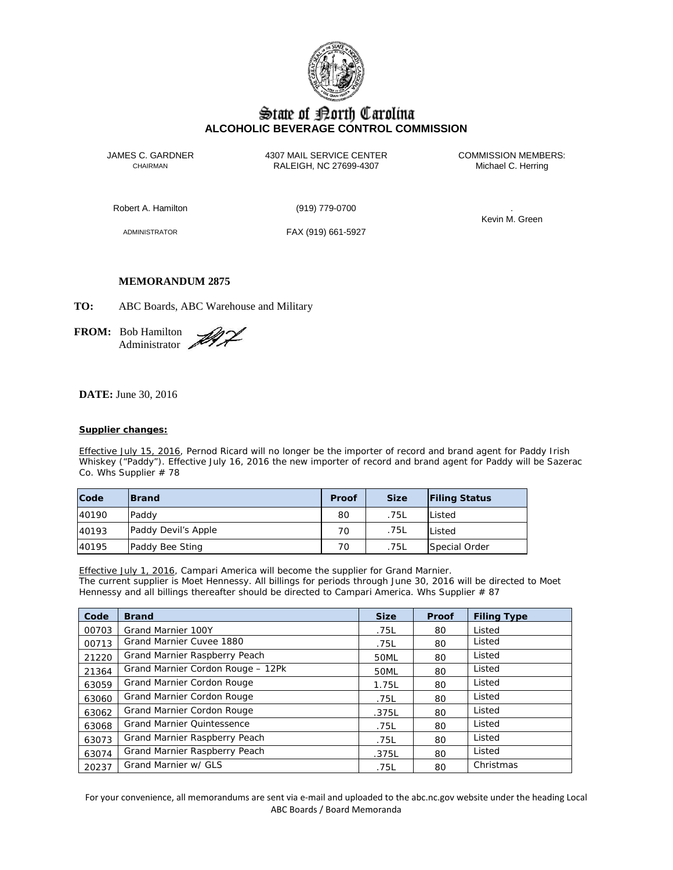

# State of Borth Carolina **ALCOHOLIC BEVERAGE CONTROL COMMISSION**

JAMES C. GARDNER 4307 MAIL SERVICE CENTER COMMISSION MEMBERS:<br>CHAIRMAN CHAIRMAN RALEIGH, NC 27699-4307 Michael C. Herring RALEIGH, NC 27699-4307

Robert A. Hamilton (919) 779-0700 .

ADMINISTRATOR FAX (919) 661-5927

Kevin M. Green

## **MEMORANDUM 2875**

**TO:** ABC Boards, ABC Warehouse and Military

**FROM:** Bob Hamilton Administrator

**DATE:** June 30, 2016

## **Supplier changes:**

Effective July 15, 2016, Pernod Ricard will no longer be the importer of record and brand agent for Paddy Irish Whiskey ("Paddy"). Effective July 16, 2016 the new importer of record and brand agent for Paddy will be Sazerac Co. Whs Supplier # 78

| Code  | <b>IBrand</b>       | Proof | <b>Size</b> | <b>Filing Status</b> |
|-------|---------------------|-------|-------------|----------------------|
| 40190 | Paddy               | 80    | .75L        | Listed               |
| 40193 | Paddy Devil's Apple | 70    | .75L        | Listed               |
| 40195 | Paddy Bee Sting     | 70    | .75L        | Special Order        |

Effective July 1, 2016, Campari America will become the supplier for Grand Marnier. The current supplier is Moet Hennessy. All billings for periods through June 30, 2016 will be directed to Moet Hennessy and all billings thereafter should be directed to Campari America. Whs Supplier # 87

| Code  | <b>Brand</b>                      | <b>Size</b> | Proof | <b>Filing Type</b> |
|-------|-----------------------------------|-------------|-------|--------------------|
| 00703 | Grand Marnier 100Y                | .75L        | 80    | Listed             |
| 00713 | Grand Marnier Cuvee 1880          | .75L        | 80    | Listed             |
| 21220 | Grand Marnier Raspberry Peach     | 50ML        | 80    | Listed             |
| 21364 | Grand Marnier Cordon Rouge - 12Pk | 50ML        | 80    | Listed             |
| 63059 | Grand Marnier Cordon Rouge        | 1.75L       | 80    | Listed             |
| 63060 | Grand Marnier Cordon Rouge        | .75L        | 80    | Listed             |
| 63062 | Grand Marnier Cordon Rouge        | .375L       | 80    | Listed             |
| 63068 | <b>Grand Marnier Quintessence</b> | .75L        | 80    | Listed             |
| 63073 | Grand Marnier Raspberry Peach     | .75L        | 80    | Listed             |
| 63074 | Grand Marnier Raspberry Peach     | .375L       | 80    | Listed             |
| 20237 | Grand Marnier w/ GLS              | .75L        | 80    | Christmas          |

For your convenience, all memorandums are sent via e-mail and uploaded to the abc.nc.gov website under the heading Local ABC Boards / Board Memoranda